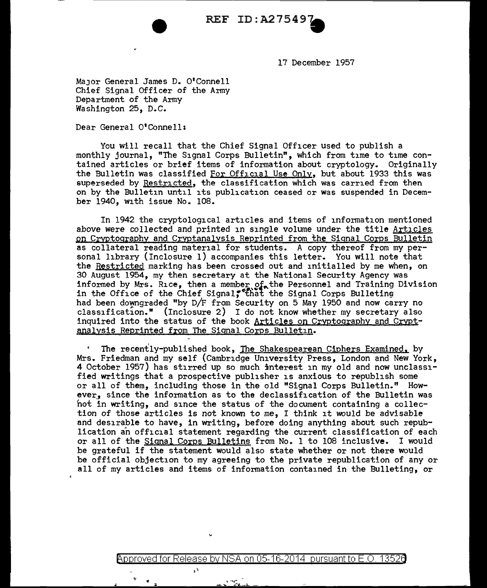

17 December 1957

MaJor General James D. O'Connell Chief Signal Officer of the Army Department of the Army Washington 25, D.C.

Dear General O'Connell:

You will recall that the Chief Signal Officer used to publish a monthly journal, "The Signal Corps Bulletin", which from time to time contained articles or brief items of information about cryptology. Originally the Bulletin was classified For Official Use Only, but about 1933 this was superseded by Restricted, the classification which was carried from then on by the Bulletin until its publication ceased or was suspended in December 1940, with issue No. 108.

In 1942 the cryptological articles and items of information mentioned above were collected and printed in single volume under the title Articles on Cryptography and Cryptanalysis Reprinted from the Signal Corps Bulletin as collateral reading material for students. A copy thereof from my personal library (Inclosure 1) accompanies this letter. You will note that the Restricted marking has been crossed out and initialled by me when, on 30 August 1954, my then secretary at the National Security Agency was informed by Mrs. Rice, then a member of the Personnel and Training Division in the Office of the Chief Signal, the Signal Corps Bulleting had been downgraded "by D/F from Security on 5 May 1950 and now carry no classification." (Inclosure 2) I do not know whether my secretary also inquired into the status of the book Articles on Cryptography and Cryptanalysis Reprinted from The Signal Corps Bulletin.

The recently-published book, The Shakespearean Ciphers Examined. by Mrs. Friedman and my self (Cambridge University Press, London and New York, 4 October 1957) has stirred up so much interest in my old and now unclassified writings that a prospective publisher is anxious to republish some or all of them, including those in the old "Signal Corps Bulletin." How ever, since the information as to the declassification of the Bulletin was hot in writing, and since the status of the document containing a collection of those articles is not known to me, I think it would be advisable and desirable to have, in writing, before doing anything about such republication an official statement regarding the current classification of each or all of the Signal Corps Bulletins from No. 1 to 108 inclusive. I would be grateful if the statement would also state whether or not there would be official objection to my agreeing to the private republication of any or all of my articles and items of information contained in the Bulleting, or

@'pp roved for Release by NSA on 05-16-2014 pursuantto E .0. 1352a

 $\mathbf{r}$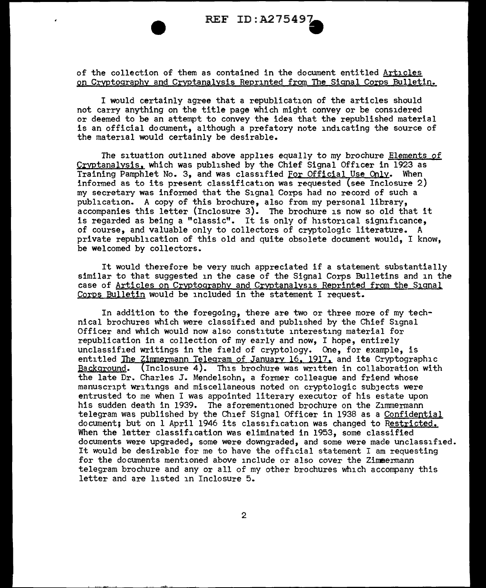

of the collection of them as contained in the document entitled Articles on Cryptography and Cryptanalysis Reprinted from The Signal Corps Bulletin.

I would certainly agree that a republication of the articles should not carry anything on the title page which might convey or be considered or deemed to be an attempt to convey the idea that the republished material is an official document, although a prefatory note indicating the source of the material would certainly be desirable.

The situation outlined above applies equally to my brochure Elements of Cryptanalysis, which was published by the Chief Signal Officer in 1923 as Training Pamphlet No. 3, and was classified For Official Use Only. When informed as to its present classification was requested (see Inclosure  $2)$ my secretary was informed that the Signal Corps had no record of such a publication. A copy of this brochure, also from my personal library, accompanies this letter (Inclosure 3). The brochure is now so old that it is regarded as being a "classic". It is only of historical significance, of course, and valuable only to collectors of cryptologic literature. A private republication of this old and quite obsolete document would, I know, be welcomed by collectors.

It would therefore be very much appreciated if a statement substantially similar to that suggested in the case of the Signal Corps Bulletins and in the case of Articles on Crvptoqraphy and Cryptanalysis Reprinted from the Signal Corps Bulletin would be included in the statement I request.

In addition to the foregoing, there are two or three more of my technical brochures which were classified and published by the Chief Signal Officer and which would now also constitute interesting material for republication in a collection of my early and now, I hope, entirely unclassified writings in the field of cryptology. One, for example, is entitled The Zimmermann Telegram of January 16, 1917, and its Cryptographic Background. (Inclosure 4). This brochure was written in collaboration with the late Dr. Charles J. Mendelsohn, a former colleague and friend whose manuscript Writings and miscellaneous noted on cryptologic subJects were entrusted to me when I was appointed literary executor of his estate upon his sudden death in 1939. The aforementioned brochure on the Zimmermann telegram was published by the Chief Signal Officer in 1938 as a Confidential document; but on 1 April 1946 its classification was changed to Restricted, When the letter classification was eliminated in 1953, some classified documents were upgraded, some were downgraded, and some were made unclassified. It would be desirable for me to have the official statement I am requesting for the documents mentioned above include or also cover the Zimmermann telegram brochure and any or all of my other brochures which accompany this letter and are listed in Inclosure 5.